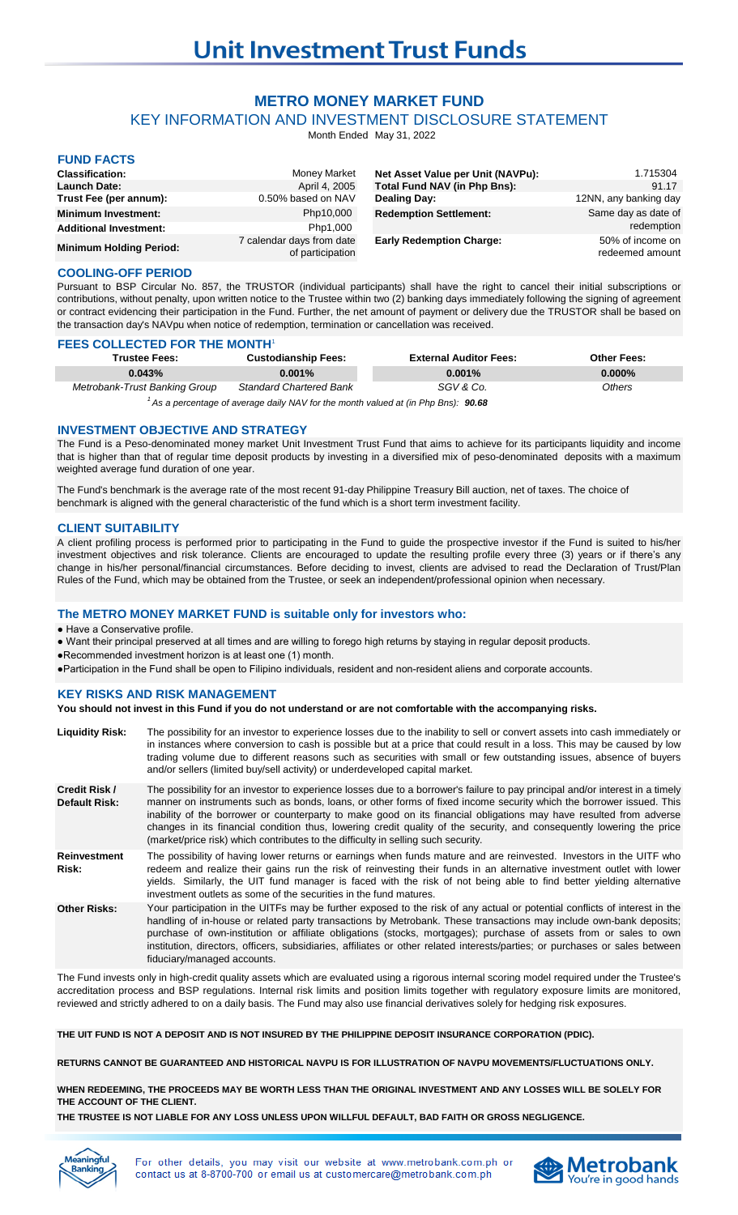# **METRO MONEY MARKET FUND**

KEY INFORMATION AND INVESTMENT DISCLOSURE STATEMENT

Month Ended May 31, 2022

# **FUND FACTS**

| <b>Classification:</b>         | Money Market                                  | Net Asset Value per Unit (NAVPu): | 1.715304                            |
|--------------------------------|-----------------------------------------------|-----------------------------------|-------------------------------------|
| <b>Launch Date:</b>            | April 4, 2005                                 | Total Fund NAV (in Php Bns):      | 91.17                               |
| Trust Fee (per annum):         | 0.50% based on NAV                            | <b>Dealing Day:</b>               | 12NN, any banking day               |
| <b>Minimum Investment:</b>     | Php10,000                                     | <b>Redemption Settlement:</b>     | Same day as date of                 |
| <b>Additional Investment:</b>  | Php1,000                                      |                                   | redemption                          |
| <b>Minimum Holding Period:</b> | 7 calendar days from date<br>of participation | <b>Early Redemption Charge:</b>   | 50% of income on<br>redeemed amount |

### **COOLING-OFF PERIOD**

Pursuant to BSP Circular No. 857, the TRUSTOR (individual participants) shall have the right to cancel their initial subscriptions or contributions, without penalty, upon written notice to the Trustee within two (2) banking days immediately following the signing of agreement or contract evidencing their participation in the Fund. Further, the net amount of payment or delivery due the TRUSTOR shall be based on the transaction day's NAVpu when notice of redemption, termination or cancellation was received.

## **FEES COLLECTED FOR THE MONTH'**

| <b>Trustee Fees:</b>                                                                           | <b>Custodianship Fees:</b>     | <b>External Auditor Fees:</b> | <b>Other Fees:</b> |  |
|------------------------------------------------------------------------------------------------|--------------------------------|-------------------------------|--------------------|--|
| 0.043%                                                                                         | $0.001\%$                      | $0.001\%$                     | $0.000\%$          |  |
| Metrobank-Trust Banking Group                                                                  | <b>Standard Chartered Bank</b> | SGV & Co.                     | Others             |  |
| $\frac{1}{1}$ As a percentage of average daily NAV for the month valued at (in Php Bns): 90.68 |                                |                               |                    |  |

## **INVESTMENT OBJECTIVE AND STRATEGY**

The Fund is a Peso-denominated money market Unit Investment Trust Fund that aims to achieve for its participants liquidity and income that is higher than that of regular time deposit products by investing in a diversified mix of peso-denominated deposits with a maximum weighted average fund duration of one year.

The Fund's benchmark is the average rate of the most recent 91-day Philippine Treasury Bill auction, net of taxes. The choice of benchmark is aligned with the general characteristic of the fund which is a short term investment facility.

### **CLIENT SUITABILITY**

A client profiling process is performed prior to participating in the Fund to guide the prospective investor if the Fund is suited to his/her investment objectives and risk tolerance. Clients are encouraged to update the resulting profile every three (3) years or if there's any change in his/her personal/financial circumstances. Before deciding to invest, clients are advised to read the Declaration of Trust/Plan Rules of the Fund, which may be obtained from the Trustee, or seek an independent/professional opinion when necessary.

# **The METRO MONEY MARKET FUND is suitable only for investors who:**

● Have a Conservative profile.

● Want their principal preserved at all times and are willing to forego high returns by staying in regular deposit products.

●Recommended investment horizon is at least one (1) month.

●Participation in the Fund shall be open to Filipino individuals, resident and non-resident aliens and corporate accounts.

## **KEY RISKS AND RISK MANAGEMENT**

#### **You should not invest in this Fund if you do not understand or are not comfortable with the accompanying risks.**

| <b>Liquidity Risk:</b>                | The possibility for an investor to experience losses due to the inability to sell or convert assets into cash immediately or<br>in instances where conversion to cash is possible but at a price that could result in a loss. This may be caused by low<br>trading volume due to different reasons such as securities with small or few outstanding issues, absence of buyers<br>and/or sellers (limited buy/sell activity) or underdeveloped capital market.                                                                                                                            |
|---------------------------------------|------------------------------------------------------------------------------------------------------------------------------------------------------------------------------------------------------------------------------------------------------------------------------------------------------------------------------------------------------------------------------------------------------------------------------------------------------------------------------------------------------------------------------------------------------------------------------------------|
| Credit Risk /<br><b>Default Risk:</b> | The possibility for an investor to experience losses due to a borrower's failure to pay principal and/or interest in a timely<br>manner on instruments such as bonds, loans, or other forms of fixed income security which the borrower issued. This<br>inability of the borrower or counterparty to make good on its financial obligations may have resulted from adverse<br>changes in its financial condition thus, lowering credit quality of the security, and consequently lowering the price<br>(market/price risk) which contributes to the difficulty in selling such security. |
| <b>Reinvestment</b><br>Risk:          | The possibility of having lower returns or earnings when funds mature and are reinvested. Investors in the UITF who<br>redeem and realize their gains run the risk of reinvesting their funds in an alternative investment outlet with lower<br>yields. Similarly, the UIT fund manager is faced with the risk of not being able to find better yielding alternative<br>investment outlets as some of the securities in the fund matures.                                                                                                                                                |
| <b>Other Risks:</b>                   | Your participation in the UITFs may be further exposed to the risk of any actual or potential conflicts of interest in the<br>handling of in-house or related party transactions by Metrobank. These transactions may include own-bank deposits;<br>purchase of own-institution or affiliate obligations (stocks, mortgages); purchase of assets from or sales to own<br>institution, directors, officers, subsidiaries, affiliates or other related interests/parties; or purchases or sales between<br>fiduciary/managed accounts.                                                     |

The Fund invests only in high-credit quality assets which are evaluated using a rigorous internal scoring model required under the Trustee's accreditation process and BSP regulations. Internal risk limits and position limits together with regulatory exposure limits are monitored, reviewed and strictly adhered to on a daily basis. The Fund may also use financial derivatives solely for hedging risk exposures.

**THE UIT FUND IS NOT A DEPOSIT AND IS NOT INSURED BY THE PHILIPPINE DEPOSIT INSURANCE CORPORATION (PDIC).**

**RETURNS CANNOT BE GUARANTEED AND HISTORICAL NAVPU IS FOR ILLUSTRATION OF NAVPU MOVEMENTS/FLUCTUATIONS ONLY.**

**WHEN REDEEMING, THE PROCEEDS MAY BE WORTH LESS THAN THE ORIGINAL INVESTMENT AND ANY LOSSES WILL BE SOLELY FOR THE ACCOUNT OF THE CLIENT.**

**THE TRUSTEE IS NOT LIABLE FOR ANY LOSS UNLESS UPON WILLFUL DEFAULT, BAD FAITH OR GROSS NEGLIGENCE.**



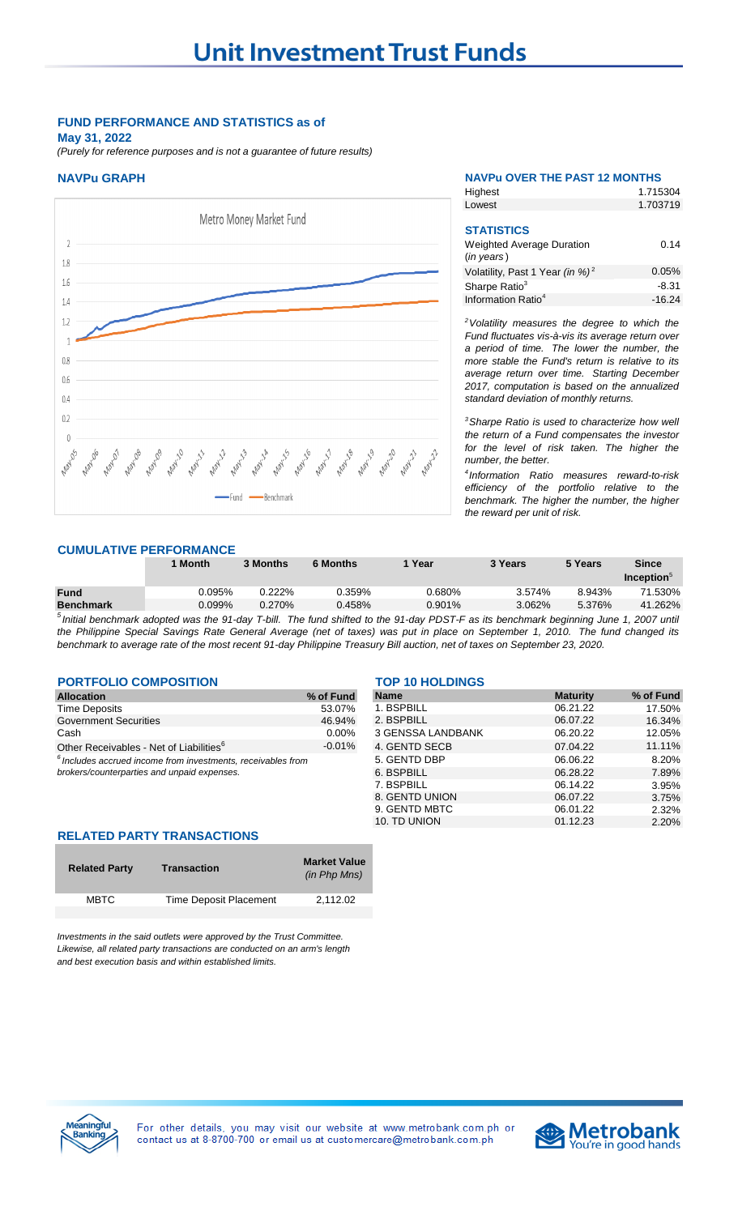# **FUND PERFORMANCE AND STATISTICS as of**

**May 31, 2022**

*(Purely for reference purposes and is not a guarantee of future results)*



| <b>NAVPu GRAPH</b>             |                                                                     | <b>NAVPU OVER THE PAST 12 MONTHS</b> |  |
|--------------------------------|---------------------------------------------------------------------|--------------------------------------|--|
|                                | Highest                                                             | 1.715304                             |  |
|                                | Lowest                                                              | 1.703719                             |  |
| Metro Money Market Fund<br>1.8 | <b>STATISTICS</b><br><b>Weighted Average Duration</b><br>(in years) | 0.14                                 |  |
|                                | Volatility, Past 1 Year (in %) <sup>2</sup>                         | 0.05%                                |  |
| 1.6                            | Sharpe Ratio <sup>3</sup>                                           | $-8.31$                              |  |
|                                | Information Ratio <sup>4</sup>                                      | $-16.24$                             |  |
|                                |                                                                     |                                      |  |

*<sup>2</sup>Volatility measures the degree to which the Fund fluctuates vis-à-vis its average return over a period of time. The lower the number, the more stable the Fund's return is relative to its average return over time. Starting December 2017, computation is based on the annualized standard deviation of monthly returns.* 

*<sup>3</sup>Sharpe Ratio is used to characterize how well the return of a Fund compensates the investor for the level of risk taken. The higher the number, the better.*

*4 Information Ratio measures reward-to-risk efficiency of the portfolio relative to the benchmark. The higher the number, the higher the reward per unit of risk.*

# **CUMULATIVE PERFORMANCE**

|                  | 1 Month   | 3 Months  | <b>6 Months</b> | Year      | 3 Years | 5 Years | <b>Since</b>           |
|------------------|-----------|-----------|-----------------|-----------|---------|---------|------------------------|
|                  |           |           |                 |           |         |         | Inception <sub>6</sub> |
| <b>Fund</b>      | 0.095%    | $0.222\%$ | 0.359%          | ን.680%    | 3.574%  | 8.943%  | 71.530%                |
| <b>Benchmark</b> | $0.099\%$ | $0.270\%$ | $0.458\%$       | $0.901\%$ | 3.062%  | 5.376%  | 41.262%                |

<sup>5</sup>Initial benchmark adopted was the 91-day T-bill. The fund shifted to the 91-day PDST-F as its benchmark beginning June 1, 2007 until the Philippine Special Savings Rate General Average (net of taxes) was put in place on September 1, 2010. The fund changed its *benchmark to average rate of the most recent 91-day Philippine Treasury Bill auction, net of taxes on September 23, 2020.* 

# **PORTFOLIO COMPOSITION** TOP 10 HOLDINGS

| Allocation                                                      | % of Fund |
|-----------------------------------------------------------------|-----------|
| Time Deposits                                                   | 53.07%    |
| Government Securities                                           | 46.94%    |
| Cash                                                            | $0.00\%$  |
| Other Receivables - Net of Liabilities <sup>6</sup>             | $-0.01%$  |
| $^6$ lookides accurad income from investments, resolvables from |           |

| <b>Allocation</b>                                               | % of Fund | <b>Name</b>       | <b>Maturity</b> |
|-----------------------------------------------------------------|-----------|-------------------|-----------------|
| Time Deposits                                                   | 53.07%    | 1. BSPBILL        | 06.21.22        |
| Government Securities                                           | 46.94%    | 2. BSPBILL        | 06.07.22        |
| Cash                                                            | $0.00\%$  | 3 GENSSA LANDBANK | 06.20.22        |
| Other Receivables - Net of Liabilities <sup>6</sup>             | $-0.01%$  | 4. GENTD SECB     | 07.04.22        |
| $^6$ Includes accrued income from investments, receivables from |           | 5. GENTD DBP      | 06.06.22        |
| brokers/counterparties and unpaid expenses.                     |           | 6. BSPBILL        | 06.28.22        |
|                                                                 |           | 7. BSPBILL        | 06.14.22        |
|                                                                 |           | 8. GENTD UNION    | 06.07.22        |
|                                                                 |           | 9. GENTD MBTC     | 06.01.22        |
|                                                                 |           | 10. TD UNION      | 01.12.23        |

## **RELATED PARTY TRANSACTIONS**

| <b>Related Party</b> | <b>Transaction</b>     | <b>Market Value</b><br>(in Php Mns) |
|----------------------|------------------------|-------------------------------------|
| <b>MBTC</b>          | Time Deposit Placement | 2,112.02                            |
|                      |                        |                                     |

*Investments in the said outlets were approved by the Trust Committee. Likewise, all related party transactions are conducted on an arm's length and best execution basis and within established limits.*



For other details, you may visit our website at www.metrobank.com.ph or contact us at 8-8700-700 or email us at customercare@metrobank.com.ph